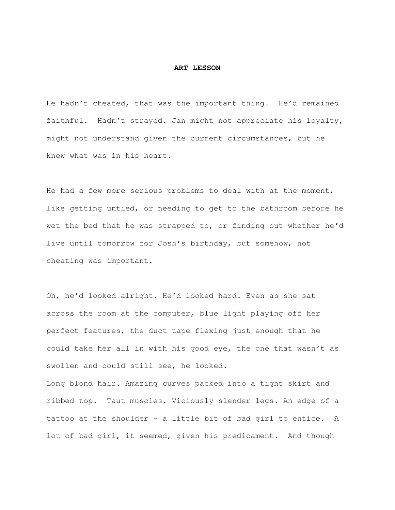## **ART LESSON**

He hadn't cheated, that was the important thing. He'd remained faithful. Hadn't strayed. Jan might not appreciate his loyalty, might not understand given the current circumstances, but he knew what was in his heart.

He had a few more serious problems to deal with at the moment, like getting untied, or needing to get to the bathroom before he wet the bed that he was strapped to, or finding out whether he'd live until tomorrow for Josh's birthday, but somehow, not cheating was important.

Oh, he'd looked alright. He'd looked hard. Even as she sat across the room at the computer, blue light playing off her perfect features, the duct tape flexing just enough that he could take her all in with his good eye, the one that wasn't as swollen and could still see, he looked.

Long blond hair. Amazing curves packed into a tight skirt and ribbed top. Taut muscles. Viciously slender legs. An edge of a tattoo at the shoulder - a little bit of bad girl to entice. A lot of bad girl, it seemed, given his predicament. And though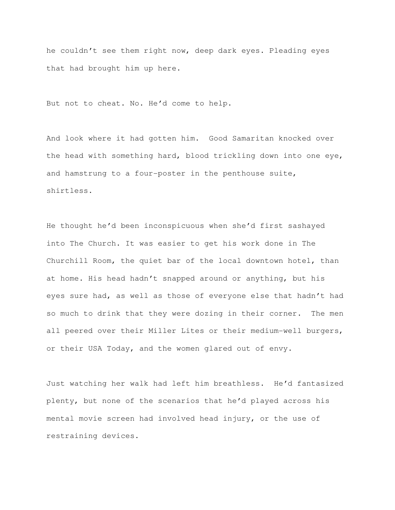he couldn't see them right now, deep dark eyes. Pleading eyes that had brought him up here.

But not to cheat. No. He'd come to help.

And look where it had gotten him. Good Samaritan knocked over the head with something hard, blood trickling down into one eye, and hamstrung to a four-poster in the penthouse suite, shirtless.

He thought he'd been inconspicuous when she'd first sashayed into The Church. It was easier to get his work done in The Churchill Room, the quiet bar of the local downtown hotel, than at home. His head hadn't snapped around or anything, but his eyes sure had, as well as those of everyone else that hadn't had so much to drink that they were dozing in their corner. The men all peered over their Miller Lites or their medium-well burgers, or their USA Today, and the women glared out of envy.

Just watching her walk had left him breathless. He'd fantasized plenty, but none of the scenarios that he'd played across his mental movie screen had involved head injury, or the use of restraining devices.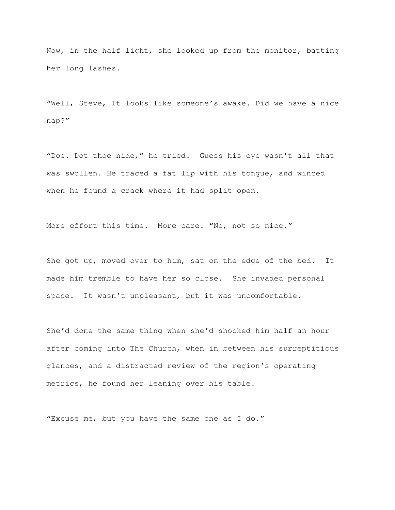Now, in the half light, she looked up from the monitor, batting her long lashes.

"Well, Steve, It looks like someone's awake. Did we have a nice nap?"

"Doe. Dot thoe nide," he tried. Guess his eye wasn't all that was swollen. He traced a fat lip with his tongue, and winced when he found a crack where it had split open.

More effort this time. More care. "No, not so nice."

She got up, moved over to him, sat on the edge of the bed. It made him tremble to have her so close. She invaded personal space. It wasn't unpleasant, but it was uncomfortable.

She'd done the same thing when she'd shocked him half an hour after coming into The Church, when in between his surreptitious glances, and a distracted review of the region's operating metrics, he found her leaning over his table.

"Excuse me, but you have the same one as I do."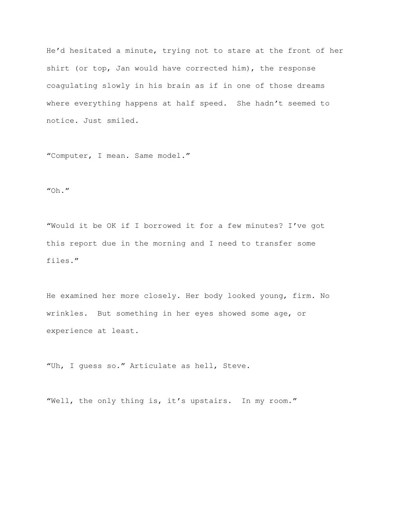He'd hesitated a minute, trying not to stare at the front of her shirt (or top, Jan would have corrected him), the response coagulating slowly in his brain as if in one of those dreams where everything happens at half speed. She hadn't seemed to notice. Just smiled.

"Computer, I mean. Same model."

 $"$ Oh."

"Would it be OK if I borrowed it for a few minutes? I've got this report due in the morning and I need to transfer some files."

He examined her more closely. Her body looked young, firm. No wrinkles. But something in her eyes showed some age, or experience at least.

"Uh, I guess so." Articulate as hell, Steve.

"Well, the only thing is, it's upstairs. In my room."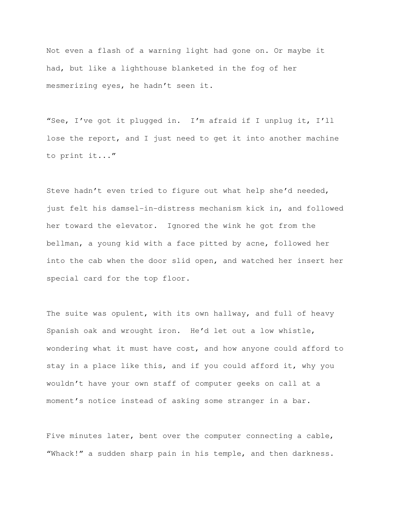Not even a flash of a warning light had gone on. Or maybe it had, but like a lighthouse blanketed in the fog of her mesmerizing eyes, he hadn't seen it.

"See, I've got it plugged in. I'm afraid if I unplug it, I'll lose the report, and I just need to get it into another machine to print it..."

Steve hadn't even tried to figure out what help she'd needed, just felt his damsel-in-distress mechanism kick in, and followed her toward the elevator. Ignored the wink he got from the bellman, a young kid with a face pitted by acne, followed her into the cab when the door slid open, and watched her insert her special card for the top floor.

The suite was opulent, with its own hallway, and full of heavy Spanish oak and wrought iron. He'd let out a low whistle, wondering what it must have cost, and how anyone could afford to stay in a place like this, and if you could afford it, why you wouldn't have your own staff of computer geeks on call at a moment's notice instead of asking some stranger in a bar.

Five minutes later, bent over the computer connecting a cable, "Whack!" a sudden sharp pain in his temple, and then darkness.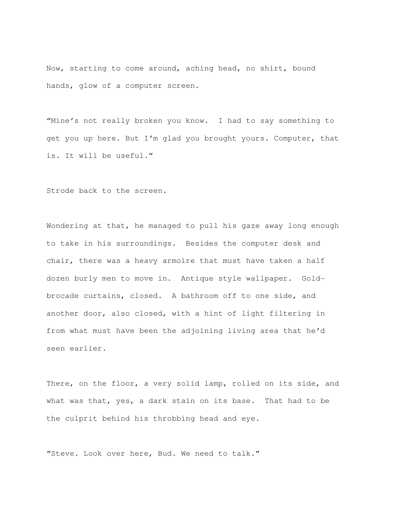Now, starting to come around, aching head, no shirt, bound hands, glow of a computer screen.

"Mine's not really broken you know. I had to say something to get you up here. But I'm glad you brought yours. Computer, that is. It will be useful."

Strode back to the screen.

Wondering at that, he managed to pull his gaze away long enough to take in his surroundings. Besides the computer desk and chair, there was a heavy armoire that must have taken a half dozen burly men to move in. Antique style wallpaper. Goldbrocade curtains, closed. A bathroom off to one side, and another door, also closed, with a hint of light filtering in from what must have been the adjoining living area that he'd seen earlier.

There, on the floor, a very solid lamp, rolled on its side, and what was that, yes, a dark stain on its base. That had to be the culprit behind his throbbing head and eye.

"Steve. Look over here, Bud. We need to talk."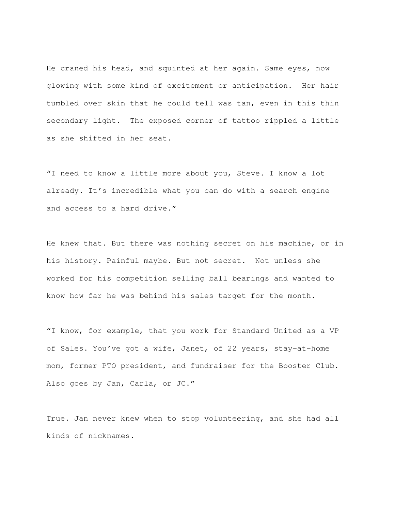He craned his head, and squinted at her again. Same eyes, now glowing with some kind of excitement or anticipation. Her hair tumbled over skin that he could tell was tan, even in this thin secondary light. The exposed corner of tattoo rippled a little as she shifted in her seat.

"I need to know a little more about you, Steve. I know a lot already. It's incredible what you can do with a search engine and access to a hard drive."

He knew that. But there was nothing secret on his machine, or in his history. Painful maybe. But not secret. Not unless she worked for his competition selling ball bearings and wanted to know how far he was behind his sales target for the month.

"I know, for example, that you work for Standard United as a VP of Sales. You've got a wife, Janet, of 22 years, stay-at-home mom, former PTO president, and fundraiser for the Booster Club. Also goes by Jan, Carla, or JC."

True. Jan never knew when to stop volunteering, and she had all kinds of nicknames.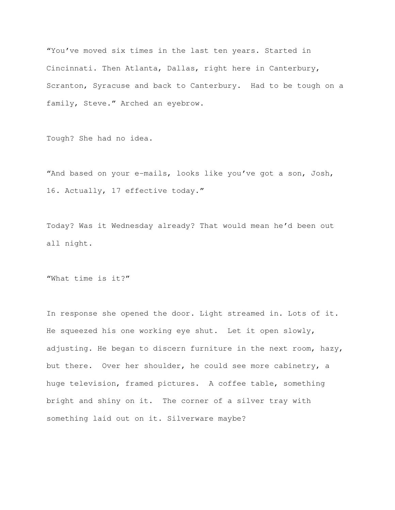"You've moved six times in the last ten years. Started in Cincinnati. Then Atlanta, Dallas, right here in Canterbury, Scranton, Syracuse and back to Canterbury. Had to be tough on a family, Steve." Arched an eyebrow.

Tough? She had no idea.

"And based on your e-mails, looks like you've got a son, Josh, 16. Actually, 17 effective today."

Today? Was it Wednesday already? That would mean he'd been out all night.

"What time is it?"

In response she opened the door. Light streamed in. Lots of it. He squeezed his one working eye shut. Let it open slowly, adjusting. He began to discern furniture in the next room, hazy, but there. Over her shoulder, he could see more cabinetry, a huge television, framed pictures. A coffee table, something bright and shiny on it. The corner of a silver tray with something laid out on it. Silverware maybe?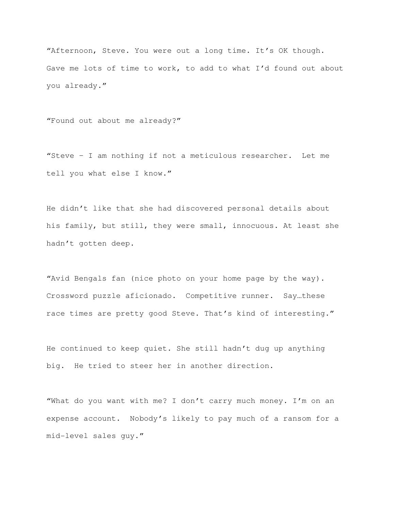"Afternoon, Steve. You were out a long time. It's OK though. Gave me lots of time to work, to add to what I'd found out about you already."

"Found out about me already?"

"Steve – I am nothing if not a meticulous researcher. Let me tell you what else I know."

He didn't like that she had discovered personal details about his family, but still, they were small, innocuous. At least she hadn't gotten deep.

"Avid Bengals fan (nice photo on your home page by the way). Crossword puzzle aficionado. Competitive runner. Say…these race times are pretty good Steve. That's kind of interesting."

He continued to keep quiet. She still hadn't dug up anything big. He tried to steer her in another direction.

"What do you want with me? I don't carry much money. I'm on an expense account. Nobody's likely to pay much of a ransom for a mid-level sales guy."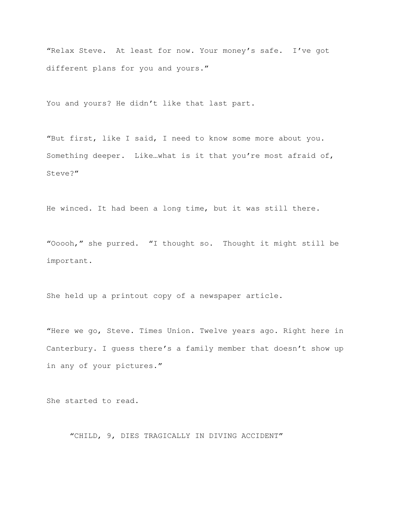"Relax Steve. At least for now. Your money's safe. I've got different plans for you and yours."

You and yours? He didn't like that last part.

"But first, like I said, I need to know some more about you. Something deeper. Like…what is it that you're most afraid of, Steve?"

He winced. It had been a long time, but it was still there.

"Ooooh," she purred. "I thought so. Thought it might still be important.

She held up a printout copy of a newspaper article.

"Here we go, Steve. Times Union. Twelve years ago. Right here in Canterbury. I guess there's a family member that doesn't show up in any of your pictures."

She started to read.

"CHILD, 9, DIES TRAGICALLY IN DIVING ACCIDENT"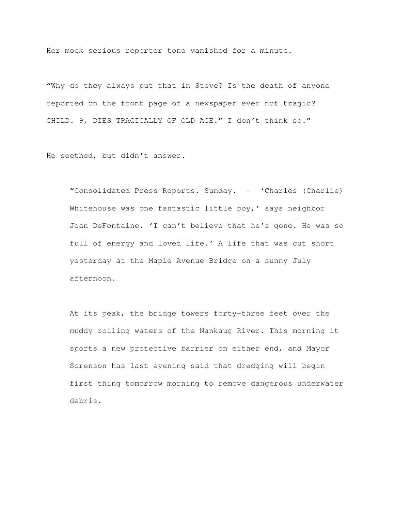Her mock serious reporter tone vanished for a minute.

"Why do they always put that in Steve? Is the death of anyone reported on the front page of a newspaper ever not tragic? CHILD. 9, DIES TRAGICALLY OF OLD AGE." I don't think so."

He seethed, but didn't answer.

"Consolidated Press Reports. Sunday. - 'Charles (Charlie) Whitehouse was one fantastic little boy,' says neighbor Joan DeFontaine. 'I can't believe that he's gone. He was so full of energy and loved life.' A life that was cut short yesterday at the Maple Avenue Bridge on a sunny July afternoon.

At its peak, the bridge towers forty-three feet over the muddy roiling waters of the Nankaug River. This morning it sports a new protective barrier on either end, and Mayor Sorenson has last evening said that dredging will begin first thing tomorrow morning to remove dangerous underwater debris.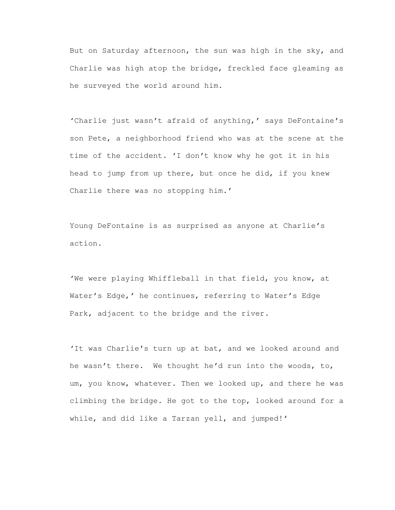But on Saturday afternoon, the sun was high in the sky, and Charlie was high atop the bridge, freckled face gleaming as he surveyed the world around him.

'Charlie just wasn't afraid of anything,' says DeFontaine's son Pete, a neighborhood friend who was at the scene at the time of the accident. 'I don't know why he got it in his head to jump from up there, but once he did, if you knew Charlie there was no stopping him.'

Young DeFontaine is as surprised as anyone at Charlie's action.

'We were playing Whiffleball in that field, you know, at Water's Edge,' he continues, referring to Water's Edge Park, adjacent to the bridge and the river.

'It was Charlie's turn up at bat, and we looked around and he wasn't there. We thought he'd run into the woods, to, um, you know, whatever. Then we looked up, and there he was climbing the bridge. He got to the top, looked around for a while, and did like a Tarzan yell, and jumped!'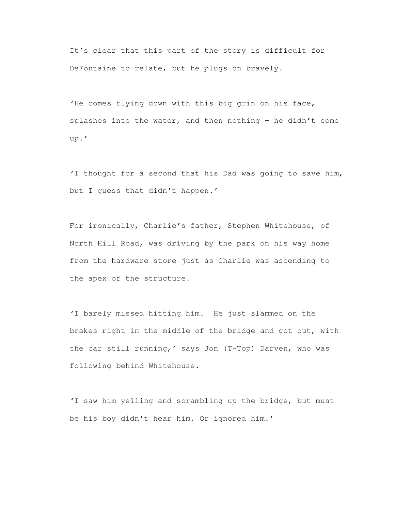It's clear that this part of the story is difficult for DeFontaine to relate, but he plugs on bravely.

'He comes flying down with this big grin on his face, splashes into the water, and then nothing – he didn't come up.'

'I thought for a second that his Dad was going to save him, but I guess that didn't happen.'

For ironically, Charlie's father, Stephen Whitehouse, of North Hill Road, was driving by the park on his way home from the hardware store just as Charlie was ascending to the apex of the structure.

'I barely missed hitting him. He just slammed on the brakes right in the middle of the bridge and got out, with the car still running,' says Jon (T-Top) Darven, who was following behind Whitehouse.

'I saw him yelling and scrambling up the bridge, but must be his boy didn't hear him. Or ignored him.'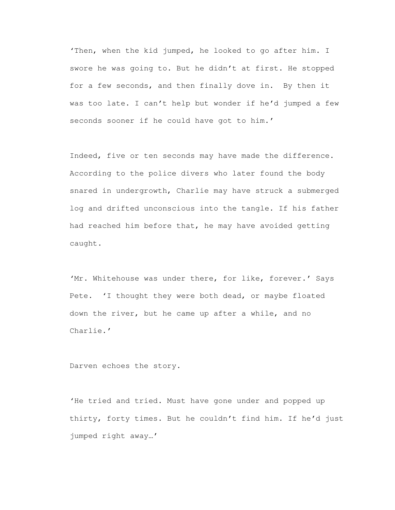'Then, when the kid jumped, he looked to go after him. I swore he was going to. But he didn't at first. He stopped for a few seconds, and then finally dove in. By then it was too late. I can't help but wonder if he'd jumped a few seconds sooner if he could have got to him.'

Indeed, five or ten seconds may have made the difference. According to the police divers who later found the body snared in undergrowth, Charlie may have struck a submerged log and drifted unconscious into the tangle. If his father had reached him before that, he may have avoided getting caught.

'Mr. Whitehouse was under there, for like, forever.' Says Pete. 'I thought they were both dead, or maybe floated down the river, but he came up after a while, and no Charlie.'

Darven echoes the story.

'He tried and tried. Must have gone under and popped up thirty, forty times. But he couldn't find him. If he'd just jumped right away…'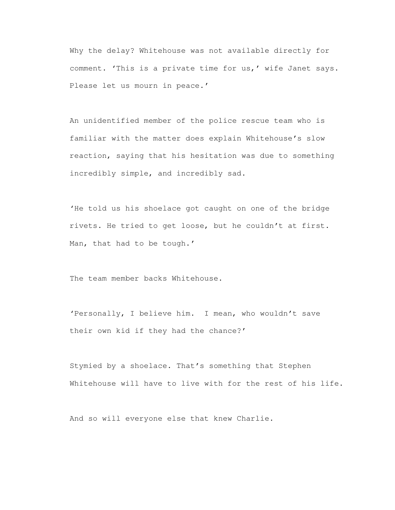Why the delay? Whitehouse was not available directly for comment. 'This is a private time for us,' wife Janet says. Please let us mourn in peace.'

An unidentified member of the police rescue team who is familiar with the matter does explain Whitehouse's slow reaction, saying that his hesitation was due to something incredibly simple, and incredibly sad.

'He told us his shoelace got caught on one of the bridge rivets. He tried to get loose, but he couldn't at first. Man, that had to be tough.'

The team member backs Whitehouse.

'Personally, I believe him. I mean, who wouldn't save their own kid if they had the chance?'

Stymied by a shoelace. That's something that Stephen Whitehouse will have to live with for the rest of his life.

And so will everyone else that knew Charlie.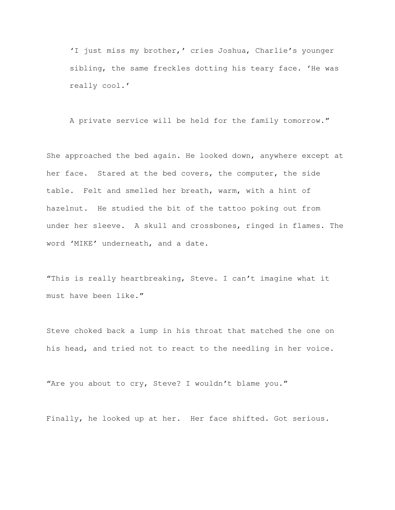'I just miss my brother,' cries Joshua, Charlie's younger sibling, the same freckles dotting his teary face. 'He was really cool.'

A private service will be held for the family tomorrow."

She approached the bed again. He looked down, anywhere except at her face. Stared at the bed covers, the computer, the side table. Felt and smelled her breath, warm, with a hint of hazelnut. He studied the bit of the tattoo poking out from under her sleeve. A skull and crossbones, ringed in flames. The word 'MIKE' underneath, and a date.

"This is really heartbreaking, Steve. I can't imagine what it must have been like."

Steve choked back a lump in his throat that matched the one on his head, and tried not to react to the needling in her voice.

"Are you about to cry, Steve? I wouldn't blame you."

Finally, he looked up at her. Her face shifted. Got serious.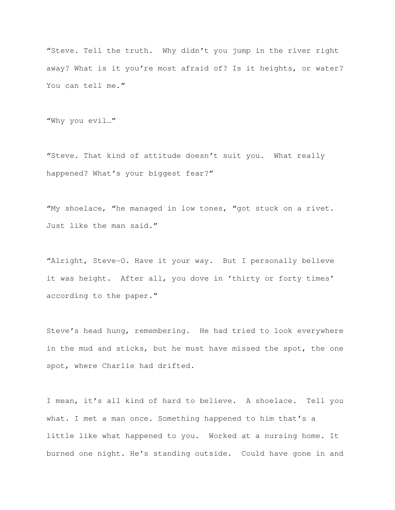"Steve. Tell the truth. Why didn't you jump in the river right away? What is it you're most afraid of? Is it heights, or water? You can tell me."

"Why you evil…"

"Steve. That kind of attitude doesn't suit you. What really happened? What's your biggest fear?"

"My shoelace, "he managed in low tones, "got stuck on a rivet. Just like the man said."

"Alright, Steve-O. Have it your way. But I personally believe it was height. After all, you dove in 'thirty or forty times' according to the paper."

Steve's head hung, remembering. He had tried to look everywhere in the mud and sticks, but he must have missed the spot, the one spot, where Charlie had drifted.

I mean, it's all kind of hard to believe. A shoelace. Tell you what. I met a man once. Something happened to him that's a little like what happened to you. Worked at a nursing home. It burned one night. He's standing outside. Could have gone in and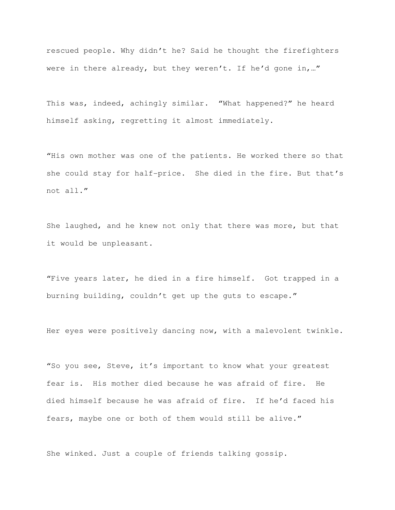rescued people. Why didn't he? Said he thought the firefighters were in there already, but they weren't. If he'd gone in, ..."

This was, indeed, achingly similar. "What happened?" he heard himself asking, regretting it almost immediately.

"His own mother was one of the patients. He worked there so that she could stay for half-price. She died in the fire. But that's not all."

She laughed, and he knew not only that there was more, but that it would be unpleasant.

"Five years later, he died in a fire himself. Got trapped in a burning building, couldn't get up the guts to escape."

Her eyes were positively dancing now, with a malevolent twinkle.

"So you see, Steve, it's important to know what your greatest fear is. His mother died because he was afraid of fire. He died himself because he was afraid of fire. If he'd faced his fears, maybe one or both of them would still be alive."

She winked. Just a couple of friends talking gossip.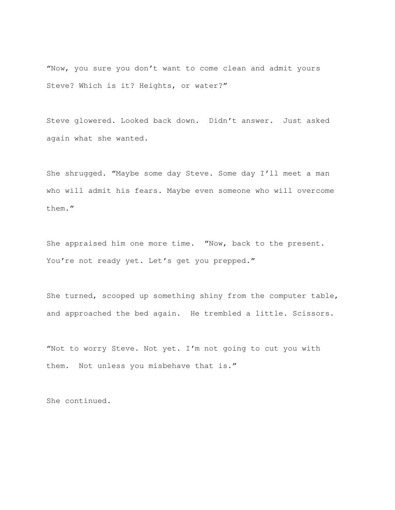"Now, you sure you don't want to come clean and admit yours Steve? Which is it? Heights, or water?"

Steve glowered. Looked back down. Didn't answer. Just asked again what she wanted.

She shrugged. "Maybe some day Steve. Some day I'll meet a man who will admit his fears. Maybe even someone who will overcome them."

She appraised him one more time. "Now, back to the present. You're not ready yet. Let's get you prepped."

She turned, scooped up something shiny from the computer table, and approached the bed again. He trembled a little. Scissors.

"Not to worry Steve. Not yet. I'm not going to cut you with them. Not unless you misbehave that is."

She continued.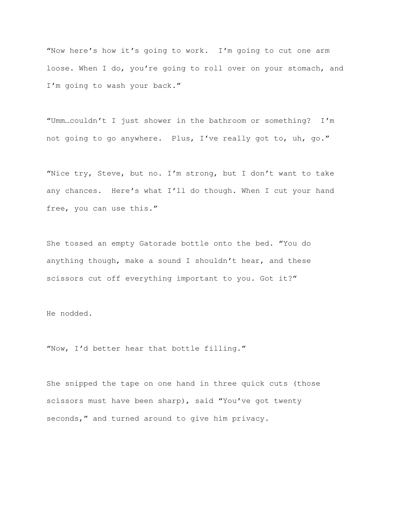"Now here's how it's going to work. I'm going to cut one arm loose. When I do, you're going to roll over on your stomach, and I'm going to wash your back."

"Umm…couldn't I just shower in the bathroom or something? I'm not going to go anywhere. Plus, I've really got to, uh, go."

"Nice try, Steve, but no. I'm strong, but I don't want to take any chances. Here's what I'll do though. When I cut your hand free, you can use this."

She tossed an empty Gatorade bottle onto the bed. "You do anything though, make a sound I shouldn't hear, and these scissors cut off everything important to you. Got it?"

He nodded.

"Now, I'd better hear that bottle filling."

She snipped the tape on one hand in three quick cuts (those scissors must have been sharp), said "You've got twenty seconds," and turned around to give him privacy.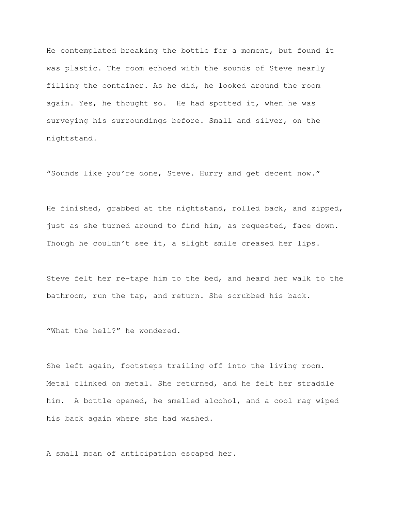He contemplated breaking the bottle for a moment, but found it was plastic. The room echoed with the sounds of Steve nearly filling the container. As he did, he looked around the room again. Yes, he thought so. He had spotted it, when he was surveying his surroundings before. Small and silver, on the nightstand.

"Sounds like you're done, Steve. Hurry and get decent now."

He finished, grabbed at the nightstand, rolled back, and zipped, just as she turned around to find him, as requested, face down. Though he couldn't see it, a slight smile creased her lips.

Steve felt her re-tape him to the bed, and heard her walk to the bathroom, run the tap, and return. She scrubbed his back.

"What the hell?" he wondered.

She left again, footsteps trailing off into the living room. Metal clinked on metal. She returned, and he felt her straddle him. A bottle opened, he smelled alcohol, and a cool rag wiped his back again where she had washed.

A small moan of anticipation escaped her.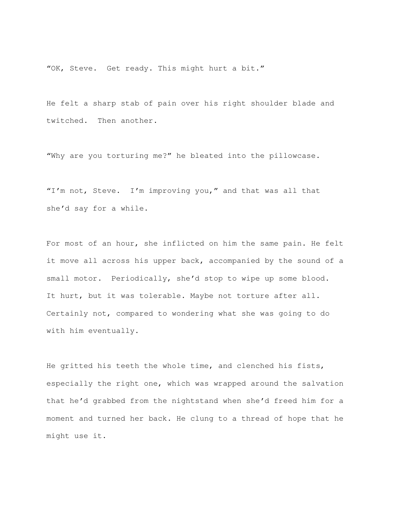"OK, Steve. Get ready. This might hurt a bit."

He felt a sharp stab of pain over his right shoulder blade and twitched. Then another.

"Why are you torturing me?" he bleated into the pillowcase.

"I'm not, Steve. I'm improving you," and that was all that she'd say for a while.

For most of an hour, she inflicted on him the same pain. He felt it move all across his upper back, accompanied by the sound of a small motor. Periodically, she'd stop to wipe up some blood. It hurt, but it was tolerable. Maybe not torture after all. Certainly not, compared to wondering what she was going to do with him eventually.

He gritted his teeth the whole time, and clenched his fists, especially the right one, which was wrapped around the salvation that he'd grabbed from the nightstand when she'd freed him for a moment and turned her back. He clung to a thread of hope that he might use it.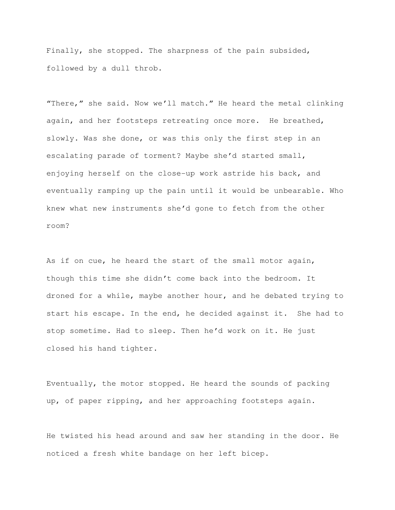Finally, she stopped. The sharpness of the pain subsided, followed by a dull throb.

"There," she said. Now we'll match." He heard the metal clinking again, and her footsteps retreating once more. He breathed, slowly. Was she done, or was this only the first step in an escalating parade of torment? Maybe she'd started small, enjoying herself on the close-up work astride his back, and eventually ramping up the pain until it would be unbearable. Who knew what new instruments she'd gone to fetch from the other room?

As if on cue, he heard the start of the small motor again, though this time she didn't come back into the bedroom. It droned for a while, maybe another hour, and he debated trying to start his escape. In the end, he decided against it. She had to stop sometime. Had to sleep. Then he'd work on it. He just closed his hand tighter.

Eventually, the motor stopped. He heard the sounds of packing up, of paper ripping, and her approaching footsteps again.

He twisted his head around and saw her standing in the door. He noticed a fresh white bandage on her left bicep.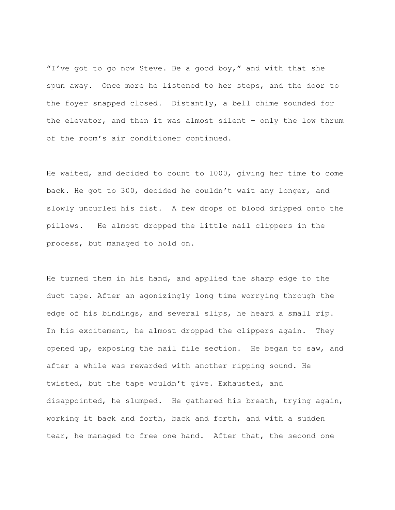"I've got to go now Steve. Be a good boy," and with that she spun away. Once more he listened to her steps, and the door to the foyer snapped closed. Distantly, a bell chime sounded for the elevator, and then it was almost silent – only the low thrum of the room's air conditioner continued.

He waited, and decided to count to 1000, giving her time to come back. He got to 300, decided he couldn't wait any longer, and slowly uncurled his fist. A few drops of blood dripped onto the pillows. He almost dropped the little nail clippers in the process, but managed to hold on.

He turned them in his hand, and applied the sharp edge to the duct tape. After an agonizingly long time worrying through the edge of his bindings, and several slips, he heard a small rip. In his excitement, he almost dropped the clippers again. They opened up, exposing the nail file section. He began to saw, and after a while was rewarded with another ripping sound. He twisted, but the tape wouldn't give. Exhausted, and disappointed, he slumped. He gathered his breath, trying again, working it back and forth, back and forth, and with a sudden tear, he managed to free one hand. After that, the second one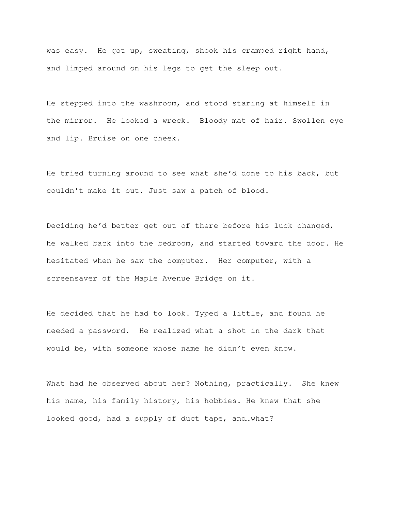was easy. He got up, sweating, shook his cramped right hand, and limped around on his legs to get the sleep out.

He stepped into the washroom, and stood staring at himself in the mirror. He looked a wreck. Bloody mat of hair. Swollen eye and lip. Bruise on one cheek.

He tried turning around to see what she'd done to his back, but couldn't make it out. Just saw a patch of blood.

Deciding he'd better get out of there before his luck changed, he walked back into the bedroom, and started toward the door. He hesitated when he saw the computer. Her computer, with a screensaver of the Maple Avenue Bridge on it.

He decided that he had to look. Typed a little, and found he needed a password. He realized what a shot in the dark that would be, with someone whose name he didn't even know.

What had he observed about her? Nothing, practically. She knew his name, his family history, his hobbies. He knew that she looked good, had a supply of duct tape, and…what?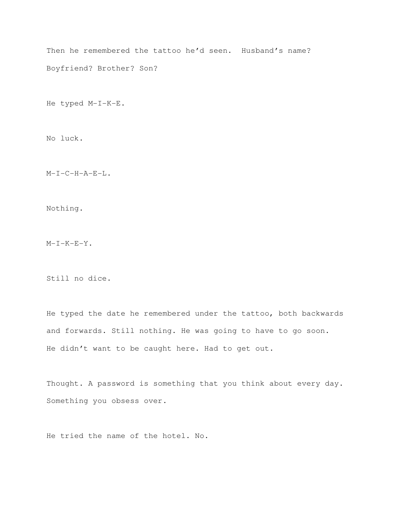Then he remembered the tattoo he'd seen. Husband's name? Boyfriend? Brother? Son?

He typed M-I-K-E.

No luck.

M-I-C-H-A-E-L.

Nothing.

 $M-I-K-E-Y$ .

Still no dice.

He typed the date he remembered under the tattoo, both backwards and forwards. Still nothing. He was going to have to go soon. He didn't want to be caught here. Had to get out.

Thought. A password is something that you think about every day. Something you obsess over.

He tried the name of the hotel. No.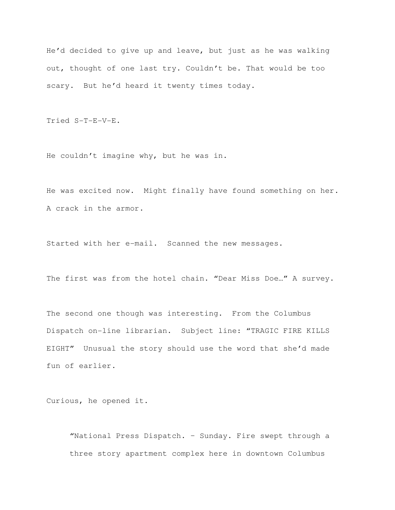He'd decided to give up and leave, but just as he was walking out, thought of one last try. Couldn't be. That would be too scary. But he'd heard it twenty times today.

Tried S-T-E-V-E.

He couldn't imagine why, but he was in.

He was excited now. Might finally have found something on her. A crack in the armor.

Started with her e-mail. Scanned the new messages.

The first was from the hotel chain. "Dear Miss Doe…" A survey.

The second one though was interesting. From the Columbus Dispatch on-line librarian. Subject line: "TRAGIC FIRE KILLS EIGHT" Unusual the story should use the word that she'd made fun of earlier.

Curious, he opened it.

"National Press Dispatch. – Sunday. Fire swept through a three story apartment complex here in downtown Columbus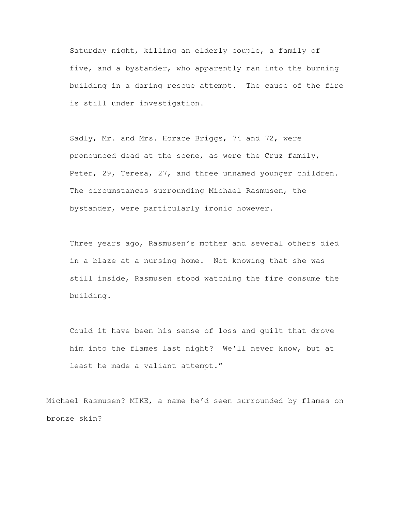Saturday night, killing an elderly couple, a family of five, and a bystander, who apparently ran into the burning building in a daring rescue attempt. The cause of the fire is still under investigation.

Sadly, Mr. and Mrs. Horace Briggs, 74 and 72, were pronounced dead at the scene, as were the Cruz family, Peter, 29, Teresa, 27, and three unnamed younger children. The circumstances surrounding Michael Rasmusen, the bystander, were particularly ironic however.

Three years ago, Rasmusen's mother and several others died in a blaze at a nursing home. Not knowing that she was still inside, Rasmusen stood watching the fire consume the building.

Could it have been his sense of loss and guilt that drove him into the flames last night? We'll never know, but at least he made a valiant attempt."

Michael Rasmusen? MIKE, a name he'd seen surrounded by flames on bronze skin?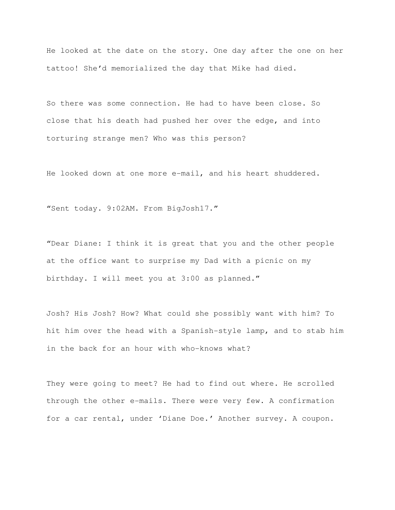He looked at the date on the story. One day after the one on her tattoo! She'd memorialized the day that Mike had died.

So there was some connection. He had to have been close. So close that his death had pushed her over the edge, and into torturing strange men? Who was this person?

He looked down at one more e-mail, and his heart shuddered.

"Sent today. 9:02AM. From BigJosh17."

"Dear Diane: I think it is great that you and the other people at the office want to surprise my Dad with a picnic on my birthday. I will meet you at 3:00 as planned."

Josh? His Josh? How? What could she possibly want with him? To hit him over the head with a Spanish-style lamp, and to stab him in the back for an hour with who-knows what?

They were going to meet? He had to find out where. He scrolled through the other e-mails. There were very few. A confirmation for a car rental, under 'Diane Doe.' Another survey. A coupon.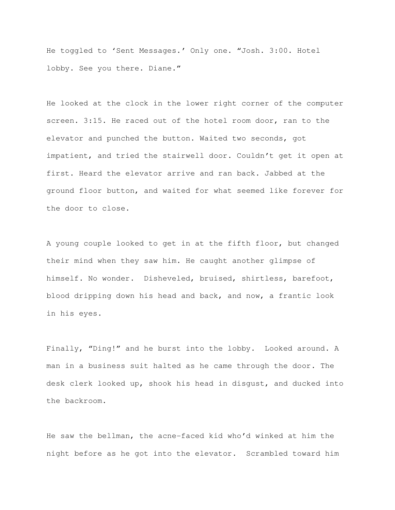He toggled to 'Sent Messages.' Only one. "Josh. 3:00. Hotel lobby. See you there. Diane."

He looked at the clock in the lower right corner of the computer screen. 3:15. He raced out of the hotel room door, ran to the elevator and punched the button. Waited two seconds, got impatient, and tried the stairwell door. Couldn't get it open at first. Heard the elevator arrive and ran back. Jabbed at the ground floor button, and waited for what seemed like forever for the door to close.

A young couple looked to get in at the fifth floor, but changed their mind when they saw him. He caught another glimpse of himself. No wonder. Disheveled, bruised, shirtless, barefoot, blood dripping down his head and back, and now, a frantic look in his eyes.

Finally, "Ding!" and he burst into the lobby. Looked around. A man in a business suit halted as he came through the door. The desk clerk looked up, shook his head in disgust, and ducked into the backroom.

He saw the bellman, the acne-faced kid who'd winked at him the night before as he got into the elevator. Scrambled toward him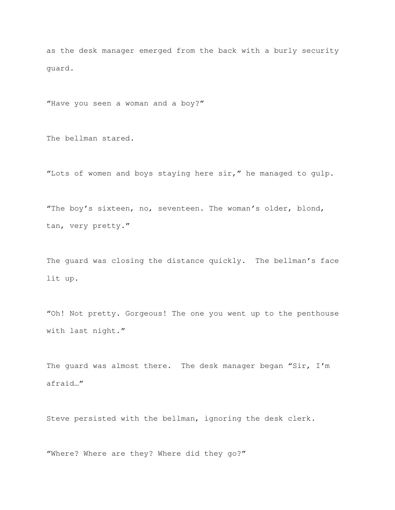as the desk manager emerged from the back with a burly security guard.

"Have you seen a woman and a boy?"

The bellman stared.

"Lots of women and boys staying here sir," he managed to gulp.

"The boy's sixteen, no, seventeen. The woman's older, blond, tan, very pretty."

The guard was closing the distance quickly. The bellman's face lit up.

"Oh! Not pretty. Gorgeous! The one you went up to the penthouse with last night."

The guard was almost there. The desk manager began "Sir, I'm afraid…"

Steve persisted with the bellman, ignoring the desk clerk.

"Where? Where are they? Where did they go?"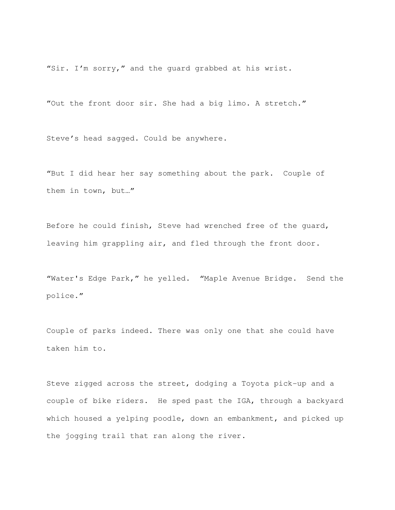"Sir. I'm sorry," and the guard grabbed at his wrist.

"Out the front door sir. She had a big limo. A stretch."

Steve's head sagged. Could be anywhere.

"But I did hear her say something about the park. Couple of them in town, but…"

Before he could finish, Steve had wrenched free of the guard, leaving him grappling air, and fled through the front door.

"Water's Edge Park," he yelled. "Maple Avenue Bridge. Send the police."

Couple of parks indeed. There was only one that she could have taken him to.

Steve zigged across the street, dodging a Toyota pick-up and a couple of bike riders. He sped past the IGA, through a backyard which housed a yelping poodle, down an embankment, and picked up the jogging trail that ran along the river.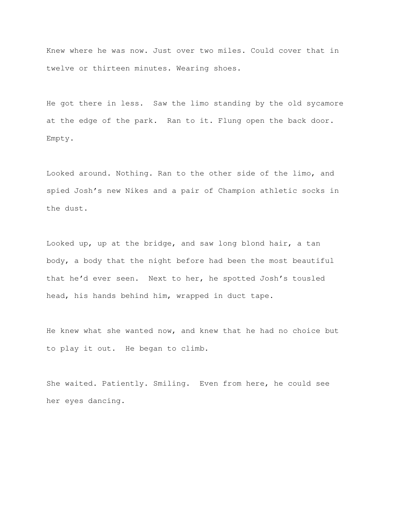Knew where he was now. Just over two miles. Could cover that in twelve or thirteen minutes. Wearing shoes.

He got there in less. Saw the limo standing by the old sycamore at the edge of the park. Ran to it. Flung open the back door. Empty.

Looked around. Nothing. Ran to the other side of the limo, and spied Josh's new Nikes and a pair of Champion athletic socks in the dust.

Looked up, up at the bridge, and saw long blond hair, a tan body, a body that the night before had been the most beautiful that he'd ever seen. Next to her, he spotted Josh's tousled head, his hands behind him, wrapped in duct tape.

He knew what she wanted now, and knew that he had no choice but to play it out. He began to climb.

She waited. Patiently. Smiling. Even from here, he could see her eyes dancing.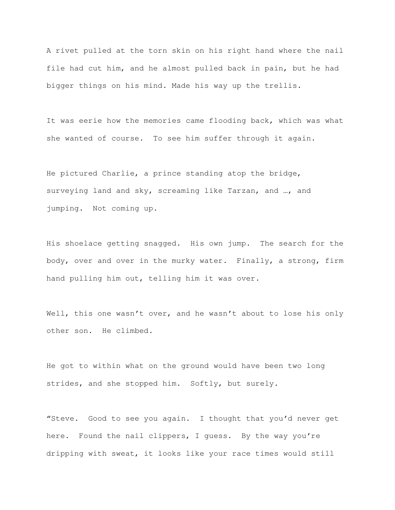A rivet pulled at the torn skin on his right hand where the nail file had cut him, and he almost pulled back in pain, but he had bigger things on his mind. Made his way up the trellis.

It was eerie how the memories came flooding back, which was what she wanted of course. To see him suffer through it again.

He pictured Charlie, a prince standing atop the bridge, surveying land and sky, screaming like Tarzan, and …, and jumping. Not coming up.

His shoelace getting snagged. His own jump. The search for the body, over and over in the murky water. Finally, a strong, firm hand pulling him out, telling him it was over.

Well, this one wasn't over, and he wasn't about to lose his only other son. He climbed.

He got to within what on the ground would have been two long strides, and she stopped him. Softly, but surely.

"Steve. Good to see you again. I thought that you'd never get here. Found the nail clippers, I guess. By the way you're dripping with sweat, it looks like your race times would still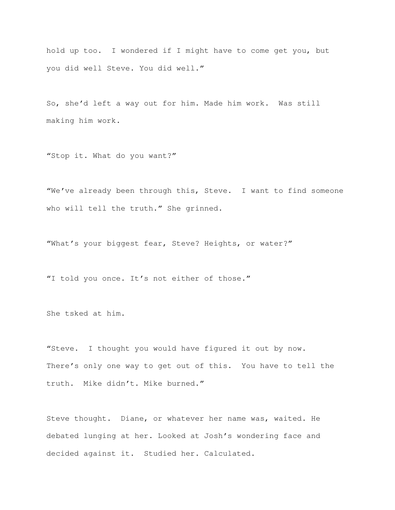hold up too. I wondered if I might have to come get you, but you did well Steve. You did well."

So, she'd left a way out for him. Made him work. Was still making him work.

"Stop it. What do you want?"

"We've already been through this, Steve. I want to find someone who will tell the truth." She grinned.

"What's your biggest fear, Steve? Heights, or water?"

"I told you once. It's not either of those."

She tsked at him.

"Steve. I thought you would have figured it out by now. There's only one way to get out of this. You have to tell the truth. Mike didn't. Mike burned."

Steve thought. Diane, or whatever her name was, waited. He debated lunging at her. Looked at Josh's wondering face and decided against it. Studied her. Calculated.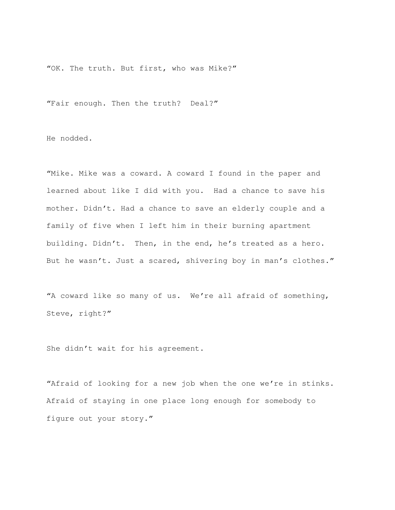"OK. The truth. But first, who was Mike?"

"Fair enough. Then the truth? Deal?"

He nodded.

"Mike. Mike was a coward. A coward I found in the paper and learned about like I did with you. Had a chance to save his mother. Didn't. Had a chance to save an elderly couple and a family of five when I left him in their burning apartment building. Didn't. Then, in the end, he's treated as a hero. But he wasn't. Just a scared, shivering boy in man's clothes."

"A coward like so many of us. We're all afraid of something, Steve, right?"

She didn't wait for his agreement.

"Afraid of looking for a new job when the one we're in stinks. Afraid of staying in one place long enough for somebody to figure out your story."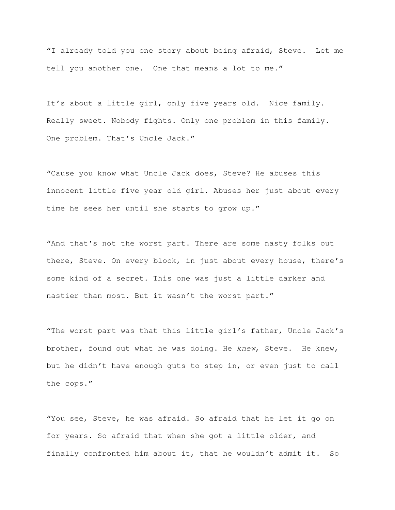"I already told you one story about being afraid, Steve. Let me tell you another one. One that means a lot to me."

It's about a little girl, only five years old. Nice family. Really sweet. Nobody fights. Only one problem in this family. One problem. That's Uncle Jack."

"Cause you know what Uncle Jack does, Steve? He abuses this innocent little five year old girl. Abuses her just about every time he sees her until she starts to grow up."

"And that's not the worst part. There are some nasty folks out there, Steve. On every block, in just about every house, there's some kind of a secret. This one was just a little darker and nastier than most. But it wasn't the worst part."

"The worst part was that this little girl's father, Uncle Jack's brother, found out what he was doing. He knew, Steve. He knew, but he didn't have enough guts to step in, or even just to call the cops."

"You see, Steve, he was afraid. So afraid that he let it go on for years. So afraid that when she got a little older, and finally confronted him about it, that he wouldn't admit it. So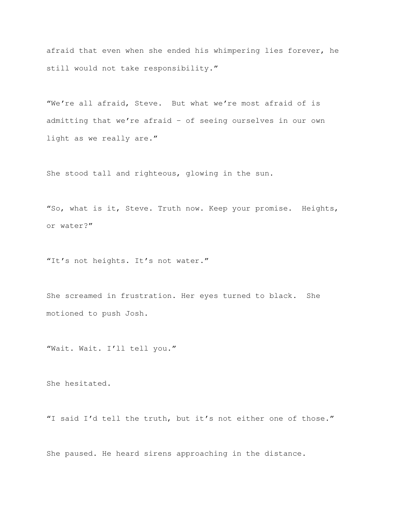afraid that even when she ended his whimpering lies forever, he still would not take responsibility."

"We're all afraid, Steve. But what we're most afraid of is admitting that we're afraid – of seeing ourselves in our own light as we really are."

She stood tall and righteous, glowing in the sun.

"So, what is it, Steve. Truth now. Keep your promise. Heights, or water?"

"It's not heights. It's not water."

She screamed in frustration. Her eyes turned to black. She motioned to push Josh.

"Wait. Wait. I'll tell you."

She hesitated.

"I said I'd tell the truth, but it's not either one of those."

She paused. He heard sirens approaching in the distance.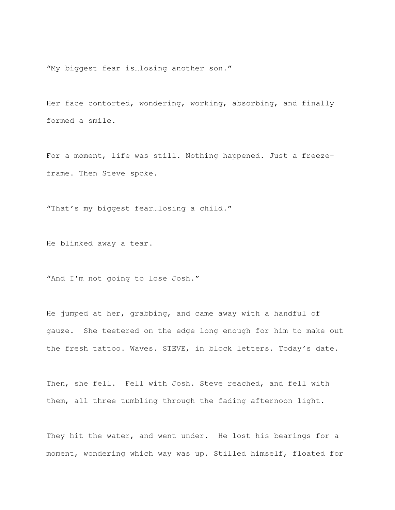"My biggest fear is…losing another son."

Her face contorted, wondering, working, absorbing, and finally formed a smile.

For a moment, life was still. Nothing happened. Just a freezeframe. Then Steve spoke.

"That's my biggest fear…losing a child."

He blinked away a tear.

"And I'm not going to lose Josh."

He jumped at her, grabbing, and came away with a handful of gauze. She teetered on the edge long enough for him to make out the fresh tattoo. Waves. STEVE, in block letters. Today's date.

Then, she fell. Fell with Josh. Steve reached, and fell with them, all three tumbling through the fading afternoon light.

They hit the water, and went under. He lost his bearings for a moment, wondering which way was up. Stilled himself, floated for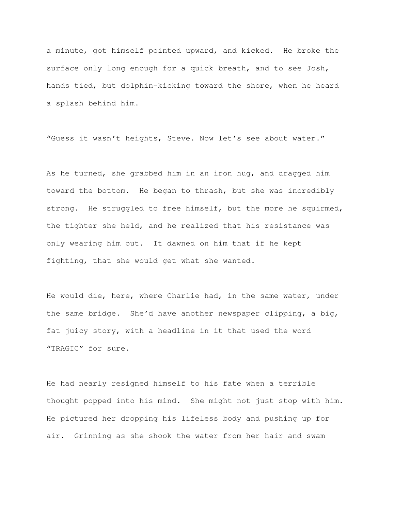a minute, got himself pointed upward, and kicked. He broke the surface only long enough for a quick breath, and to see Josh, hands tied, but dolphin-kicking toward the shore, when he heard a splash behind him.

"Guess it wasn't heights, Steve. Now let's see about water."

As he turned, she grabbed him in an iron hug, and dragged him toward the bottom. He began to thrash, but she was incredibly strong. He struggled to free himself, but the more he squirmed, the tighter she held, and he realized that his resistance was only wearing him out. It dawned on him that if he kept fighting, that she would get what she wanted.

He would die, here, where Charlie had, in the same water, under the same bridge. She'd have another newspaper clipping, a big, fat juicy story, with a headline in it that used the word "TRAGIC" for sure.

He had nearly resigned himself to his fate when a terrible thought popped into his mind. She might not just stop with him. He pictured her dropping his lifeless body and pushing up for air. Grinning as she shook the water from her hair and swam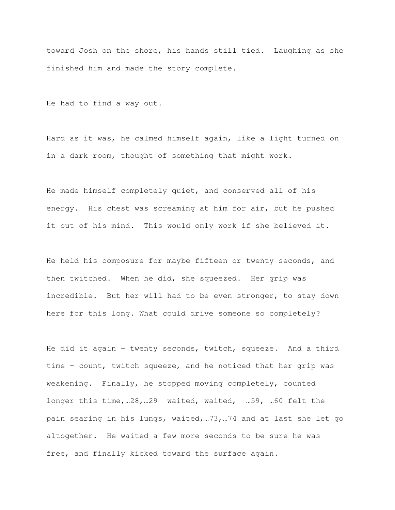toward Josh on the shore, his hands still tied. Laughing as she finished him and made the story complete.

He had to find a way out.

Hard as it was, he calmed himself again, like a light turned on in a dark room, thought of something that might work.

He made himself completely quiet, and conserved all of his energy. His chest was screaming at him for air, but he pushed it out of his mind. This would only work if she believed it.

He held his composure for maybe fifteen or twenty seconds, and then twitched. When he did, she squeezed. Her grip was incredible. But her will had to be even stronger, to stay down here for this long. What could drive someone so completely?

He did it again – twenty seconds, twitch, squeeze. And a third time – count, twitch squeeze, and he noticed that her grip was weakening. Finally, he stopped moving completely, counted longer this time,…28,…29 waited, waited, …59, …60 felt the pain searing in his lungs, waited,…73,…74 and at last she let go altogether. He waited a few more seconds to be sure he was free, and finally kicked toward the surface again.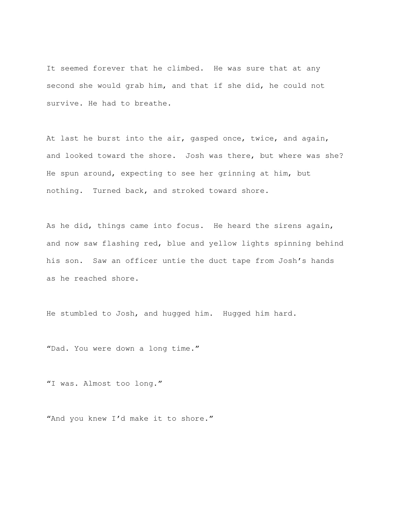It seemed forever that he climbed. He was sure that at any second she would grab him, and that if she did, he could not survive. He had to breathe.

At last he burst into the air, gasped once, twice, and again, and looked toward the shore. Josh was there, but where was she? He spun around, expecting to see her grinning at him, but nothing. Turned back, and stroked toward shore.

As he did, things came into focus. He heard the sirens again, and now saw flashing red, blue and yellow lights spinning behind his son. Saw an officer untie the duct tape from Josh's hands as he reached shore.

He stumbled to Josh, and hugged him. Hugged him hard.

"Dad. You were down a long time."

"I was. Almost too long."

"And you knew I'd make it to shore."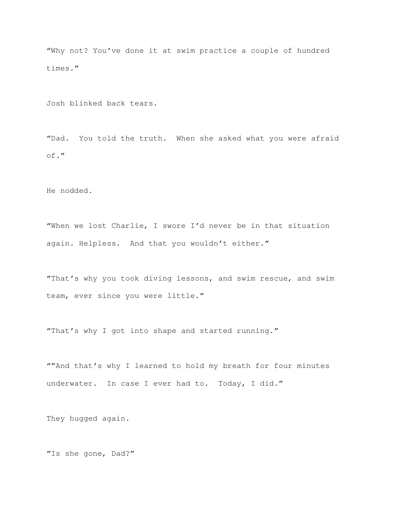"Why not? You've done it at swim practice a couple of hundred times."

Josh blinked back tears.

"Dad. You told the truth. When she asked what you were afraid of."

He nodded.

"When we lost Charlie, I swore I'd never be in that situation again. Helpless. And that you wouldn't either."

"That's why you took diving lessons, and swim rescue, and swim team, ever since you were little."

"That's why I got into shape and started running."

""And that's why I learned to hold my breath for four minutes underwater. In case I ever had to. Today, I did."

They hugged again.

"Is she gone, Dad?"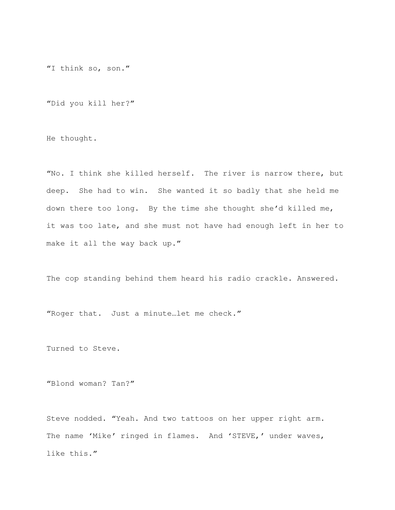"I think so, son."

"Did you kill her?"

He thought.

"No. I think she killed herself. The river is narrow there, but deep. She had to win. She wanted it so badly that she held me down there too long. By the time she thought she'd killed me, it was too late, and she must not have had enough left in her to make it all the way back up."

The cop standing behind them heard his radio crackle. Answered.

"Roger that. Just a minute…let me check."

Turned to Steve.

"Blond woman? Tan?"

Steve nodded. "Yeah. And two tattoos on her upper right arm. The name 'Mike' ringed in flames. And 'STEVE,' under waves, like this."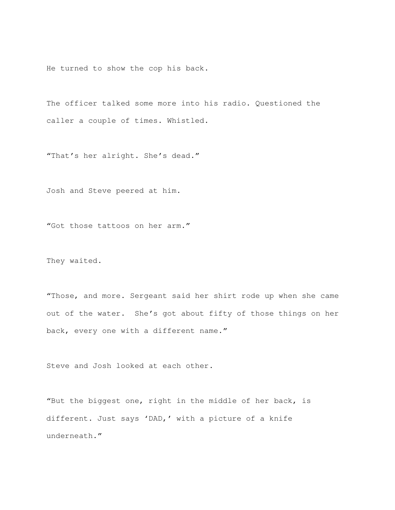He turned to show the cop his back.

The officer talked some more into his radio. Questioned the caller a couple of times. Whistled.

"That's her alright. She's dead."

Josh and Steve peered at him.

"Got those tattoos on her arm."

They waited.

"Those, and more. Sergeant said her shirt rode up when she came out of the water. She's got about fifty of those things on her back, every one with a different name."

Steve and Josh looked at each other.

"But the biggest one, right in the middle of her back, is different. Just says 'DAD,' with a picture of a knife underneath."